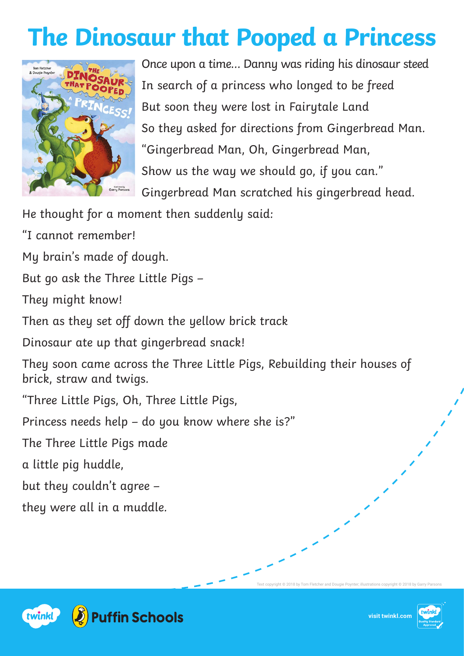## **The Dinosaur that Pooped a Princess**



Once upon a time… Danny was riding his dinosaur steed In search of a princess who longed to be freed But soon they were lost in Fairytale Land So they asked for directions from Gingerbread Man. "Gingerbread Man, Oh, Gingerbread Man, Show us the way we should go, if you can." Gingerbread Man scratched his gingerbread head.

He thought for a moment then suddenly said:

"I cannot remember!

My brain's made of dough.

But go ask the Three Little Pigs –

They might know!

Then as they set off down the yellow brick track

Dinosaur ate up that gingerbread snack!

They soon came across the Three Little Pigs, Rebuilding their houses of brick, straw and twigs.

"Three Little Pigs, Oh, Three Little Pigs,

Princess needs help – do you know where she is?"

The Three Little Pigs made

a little pig huddle,

but they couldn't agree –

they were all in a muddle.



Text copyright © 2018 by Tom Fletcher and Dougie Poynter; illustrations copyright © 2018 by Garry Parsons

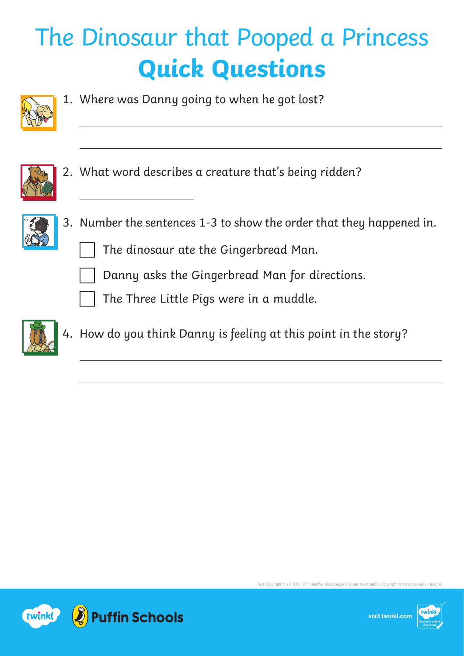## The Dinosaur that Pooped a Princess **Quick Questions**



1. Where was Danny going to when he got lost?



 $\overline{a}$ 

2. What word describes a creature that's being ridden?



- 3. Number the sentences 1-3 to show the order that they happened in.
	- The dinosaur ate the Gingerbread Man.
	- Danny asks the Gingerbread Man for directions.
	- The Three Little Pigs were in a muddle.



4. How do you think Danny is feeling at this point in the story?



**visit twinkl.com**